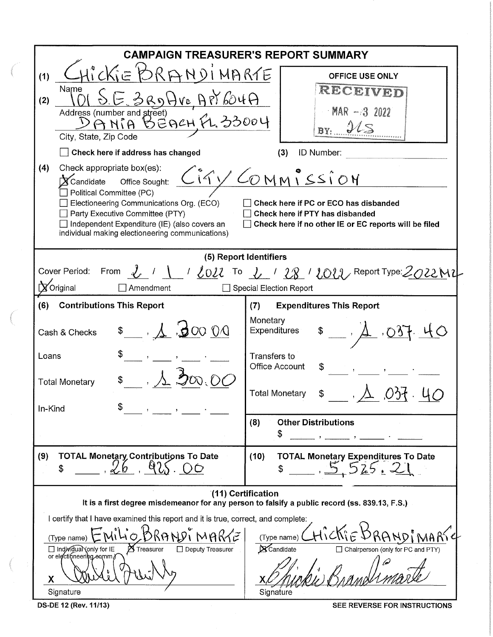| <b>CAMPAIGN TREASURER'S REPORT SUMMARY</b><br>ROKIE                                                                                                                                                                                                                                                                                                  |  |  |  |  |  |  |  |  |  |  |
|------------------------------------------------------------------------------------------------------------------------------------------------------------------------------------------------------------------------------------------------------------------------------------------------------------------------------------------------------|--|--|--|--|--|--|--|--|--|--|
| RANDINARTE<br><b>OFFICE USE ONLY</b><br>RECEIVED<br><u>E 3RDHVEAPY604A</u><br>$MR - 32022$<br>Address (number and street)<br>DANIA BEACH FL. 33004<br>ILS<br>BY:<br>ID Number:<br>(3)<br>Ciry COMMISSION<br>Check here if PC or ECO has disbanded<br>Check here if PTY has disbanded<br>$\Box$ Check here if no other IE or EC reports will be filed |  |  |  |  |  |  |  |  |  |  |
| (5) Report Identifiers<br>Cover Period: From $\ell'$ / $\ell_0$ / $\ell''$ To $\ell'$ / $\ell\%$ / $\ell_0$ / Report Type: 2022 M2                                                                                                                                                                                                                   |  |  |  |  |  |  |  |  |  |  |
| <b>Special Election Report</b>                                                                                                                                                                                                                                                                                                                       |  |  |  |  |  |  |  |  |  |  |
| <b>Expenditures This Report</b><br>(7)<br>Monetary<br><b>Expenditures</b><br>Transfers to<br><b>Office Account</b><br>\$<br><b>Total Monetary</b><br>(8)<br><b>Other Distributions</b><br>\$                                                                                                                                                         |  |  |  |  |  |  |  |  |  |  |
| (10)<br><b>TOTAL Monetary Expenditures To Date</b>                                                                                                                                                                                                                                                                                                   |  |  |  |  |  |  |  |  |  |  |
| (11) Certification<br>It is a first degree misdemeanor for any person to falsify a public record (ss. 839.13, F.S.)<br>I certify that I have examined this report and it is true, correct, and complete:<br>(Type name)<br>$\mathbf{X}$ Candidate<br>□ Chairperson (only for PC and PTY)<br>Signature                                                |  |  |  |  |  |  |  |  |  |  |
|                                                                                                                                                                                                                                                                                                                                                      |  |  |  |  |  |  |  |  |  |  |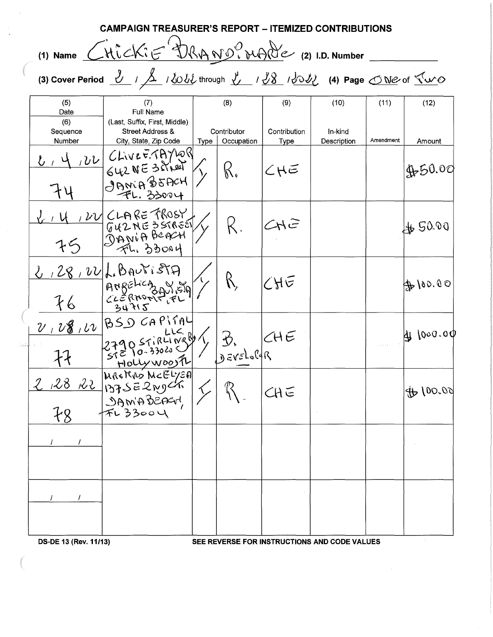|                                                                                                                                                                                            | <b>CAMPAIGN TREASURER'S REPORT – ITEMIZED CONTRIBUTIONS</b> |                                                                                                                                                                                   |      |                        |                     |                                              |                                   |                  |  |  |  |
|--------------------------------------------------------------------------------------------------------------------------------------------------------------------------------------------|-------------------------------------------------------------|-----------------------------------------------------------------------------------------------------------------------------------------------------------------------------------|------|------------------------|---------------------|----------------------------------------------|-----------------------------------|------------------|--|--|--|
| (1) Name CHickiE DRAND? MAde (2) I.D. Number                                                                                                                                               |                                                             |                                                                                                                                                                                   |      |                        |                     |                                              |                                   |                  |  |  |  |
| (3) Cover Period $\frac{y}{\sqrt{2}}$ / $\frac{y}{\sqrt{2}}$ / $\frac{y}{\sqrt{2}}$ ( $\frac{y}{\sqrt{2}}$ / $\frac{y}{\sqrt{2}}$ / $\frac{y}{\sqrt{2}}$ (4) Page <u>TWe</u> of <u>Two</u> |                                                             |                                                                                                                                                                                   |      |                        |                     |                                              |                                   |                  |  |  |  |
|                                                                                                                                                                                            | (5)<br>Date<br>(6)<br>Sequence                              | (7)<br>Full Name<br>(Last, Suffix, First, Middle)<br><b>Street Address &amp;</b>                                                                                                  |      | (8)<br>Contributor     | (9)<br>Contribution | (10)<br>In-kind                              | (11)                              | (12)             |  |  |  |
|                                                                                                                                                                                            | Number                                                      | City, State, Zip Code<br>4,22 CLIVE E.TAYLOR<br>GURNE 38/100)<br>$J$ ANIA \$5ACH<br>FL. 33004                                                                                     | Type | Occupation<br>$\beta'$ | Type<br>CHE         | Description                                  | Amendment                         | Amount<br>450.00 |  |  |  |
| bail                                                                                                                                                                                       | 75                                                          | W CLARE TROSY<br>$\begin{bmatrix} 642 \text{ N} & 357655 \\ \text{9ay1} & \text{999} \\ \hline \text{71} & \text{33004} \end{bmatrix}$                                            |      |                        | CHE                 |                                              |                                   | 4650.00          |  |  |  |
|                                                                                                                                                                                            | 76                                                          | 2, 28, 22 L. BAUTISTA<br>$\begin{bmatrix} \mathsf{Arg}(\mathsf{BMOR}) & \mathsf{diag}(\mathsf{BMOR}) \\ \mathsf{diag}(\mathsf{RMOR}) & \mathsf{diag}(\mathsf{RLO}) \end{bmatrix}$ |      |                        | $C$ HE              |                                              |                                   | 400.00           |  |  |  |
|                                                                                                                                                                                            |                                                             | $\nu$ , $\nu$ 8, $\nu$ $\beta$ SD CAPITAY<br>279057184089783.<br>Hollywoosh                                                                                                       |      |                        | CHE                 |                                              | $\varphi$ . The set $\mathcal{V}$ | 4000.00          |  |  |  |
|                                                                                                                                                                                            |                                                             | 2 28 22 MARRAS NCELYEA < R                                                                                                                                                        |      |                        | CHE                 |                                              |                                   | 46100.00         |  |  |  |
|                                                                                                                                                                                            |                                                             |                                                                                                                                                                                   |      |                        |                     |                                              |                                   |                  |  |  |  |
|                                                                                                                                                                                            |                                                             |                                                                                                                                                                                   |      |                        |                     |                                              |                                   |                  |  |  |  |
|                                                                                                                                                                                            | DS-DE 13 (Rev. 11/13)                                       |                                                                                                                                                                                   |      |                        |                     | SEE REVERSE FOR INSTRUCTIONS AND CODE VALUES |                                   |                  |  |  |  |

 $\mathcal{L}^{\text{max}}_{\text{max}}$  ,  $\mathcal{L}^{\text{max}}_{\text{max}}$ 

 $\frac{1}{\sqrt{2}}\left( \frac{1}{2} \right)$ 

 $\begin{bmatrix} 1 \\ -\tilde{u} \end{bmatrix}$